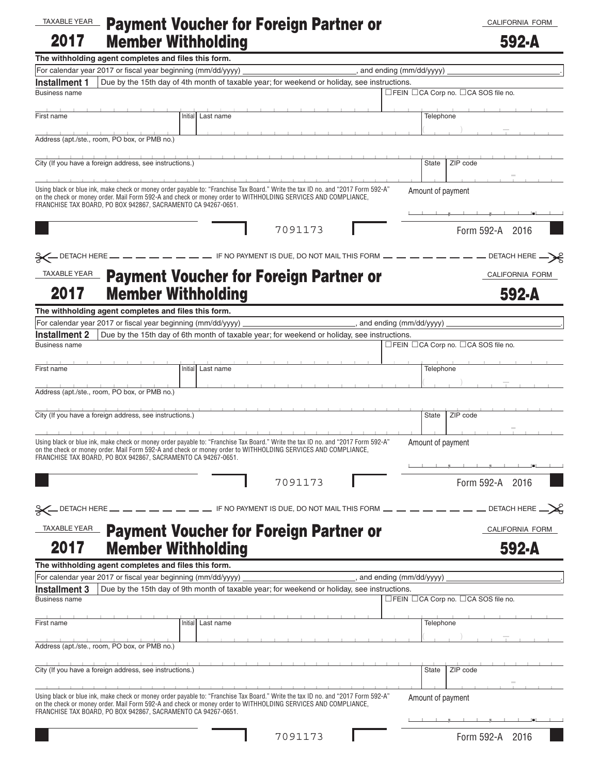#### Payment Voucher for Foreign Partner or Member Withholding TAXABLE YEAR 2017

CALIFORNIA FORM

592-A

|                      | The withholding agent completes and files this form.          |                           |                                                                                                                                                                                                                                                   |                             |                   |                                                       |
|----------------------|---------------------------------------------------------------|---------------------------|---------------------------------------------------------------------------------------------------------------------------------------------------------------------------------------------------------------------------------------------------|-----------------------------|-------------------|-------------------------------------------------------|
|                      | For calendar year 2017 or fiscal year beginning (mm/dd/yyyy)  |                           |                                                                                                                                                                                                                                                   | , and ending (mm/dd/yyyy) ] |                   |                                                       |
| Installment 1        |                                                               |                           | Due by the 15th day of 4th month of taxable year; for weekend or holiday, see instructions.                                                                                                                                                       |                             |                   |                                                       |
| <b>Business name</b> |                                                               |                           |                                                                                                                                                                                                                                                   |                             |                   | □FEIN □CA Corp no. □CA SOS file no.                   |
|                      |                                                               |                           |                                                                                                                                                                                                                                                   |                             |                   |                                                       |
| First name           |                                                               | Initial Last name         |                                                                                                                                                                                                                                                   |                             | Telephone         |                                                       |
|                      |                                                               |                           |                                                                                                                                                                                                                                                   |                             |                   |                                                       |
|                      | Address (apt./ste., room, PO box, or PMB no.)                 |                           |                                                                                                                                                                                                                                                   |                             |                   |                                                       |
|                      |                                                               |                           |                                                                                                                                                                                                                                                   |                             |                   |                                                       |
|                      | City (If you have a foreign address, see instructions.)       |                           |                                                                                                                                                                                                                                                   |                             | <b>State</b>      | ZIP code                                              |
|                      |                                                               |                           |                                                                                                                                                                                                                                                   |                             |                   |                                                       |
|                      | FRANCHISE TAX BOARD, PO BOX 942867, SACRAMENTO CA 94267-0651. |                           | Using black or blue ink, make check or money order payable to: "Franchise Tax Board." Write the tax ID no. and "2017 Form 592-A"<br>on the check or money order. Mail Form 592-A and check or money order to WITHHOLDING SERVICES AND COMPLIANCE, |                             | Amount of payment |                                                       |
|                      |                                                               |                           | 7091173                                                                                                                                                                                                                                           |                             |                   | Form 592-A 2016                                       |
| <b>X DETACH HERE</b> |                                                               |                           | $      -$ IF NO PAYMENT IS DUE, DO NOT MAIL THIS FORM $  -$                                                                                                                                                                                       |                             |                   | - DETACH HERE                                         |
| <b>TAXABLE YEAR</b>  |                                                               |                           | <b>Payment Voucher for Foreign Partner or</b>                                                                                                                                                                                                     |                             |                   | CALIFORNIA FORM                                       |
| 2017                 |                                                               | <b>Member Withholding</b> |                                                                                                                                                                                                                                                   |                             |                   | 592-A                                                 |
|                      | The withholding agent completes and files this form.          |                           |                                                                                                                                                                                                                                                   |                             |                   |                                                       |
|                      | For calendar year 2017 or fiscal year beginning (mm/dd/yyyy)  |                           |                                                                                                                                                                                                                                                   | , and ending (mm/dd/yyyy)   |                   |                                                       |
| <b>Installment 2</b> |                                                               |                           | Due by the 15th day of 6th month of taxable year; for weekend or holiday, see instructions.                                                                                                                                                       |                             |                   |                                                       |
| <b>Business name</b> |                                                               |                           |                                                                                                                                                                                                                                                   |                             |                   | $\Box$ FEIN $\Box$ CA Corp no. $\Box$ CA SOS file no. |
| First name           |                                                               | Initial Last name         |                                                                                                                                                                                                                                                   |                             | Telephone         |                                                       |
|                      | Address (apt./ste., room, PO box, or PMB no.)                 |                           |                                                                                                                                                                                                                                                   |                             |                   |                                                       |
|                      |                                                               |                           |                                                                                                                                                                                                                                                   |                             |                   |                                                       |
|                      | City (If you have a foreign address, see instructions.)       |                           |                                                                                                                                                                                                                                                   |                             | <b>State</b>      | ZIP code                                              |
|                      |                                                               |                           | Using black or blue ink, make check or money order payable to: "Franchise Tax Board." Write the tax ID no. and "2017 Form 592-A"                                                                                                                  |                             |                   |                                                       |
|                      | FRANCHISE TAX BOARD, PO BOX 942867, SACRAMENTO CA 94267-0651. |                           | on the check or money order. Mail Form 592-A and check or money order to WITHHOLDING SERVICES AND COMPLIANCE,                                                                                                                                     |                             | Amount of payment |                                                       |
|                      |                                                               |                           | 7091173                                                                                                                                                                                                                                           |                             |                   | Form 592-A 2016                                       |
|                      |                                                               |                           |                                                                                                                                                                                                                                                   |                             |                   |                                                       |
| <b>X DETACH HERE</b> |                                                               |                           | $\frac{1}{1}$ $\frac{1}{1}$ if NO PAYMENT IS DUE, DO NOT MAIL THIS FORM $\frac{1}{1}$ $\frac{1}{1}$                                                                                                                                               |                             |                   | . DETACH HERE.                                        |
| <b>TAXABLE YEAR</b>  |                                                               |                           |                                                                                                                                                                                                                                                   |                             |                   | CALIFORNIA FORM                                       |
|                      |                                                               |                           | <b>Payment Voucher for Foreign Partner or</b>                                                                                                                                                                                                     |                             |                   |                                                       |
| 2017                 |                                                               | <b>Member Withholding</b> |                                                                                                                                                                                                                                                   |                             |                   | 592-A                                                 |
|                      | The withholding agent completes and files this form.          |                           |                                                                                                                                                                                                                                                   |                             |                   |                                                       |
|                      | For calendar year 2017 or fiscal year beginning (mm/dd/yyyy)  |                           |                                                                                                                                                                                                                                                   | , and ending (mm/dd/yyyy)   |                   |                                                       |
| <b>Installment 3</b> |                                                               |                           | Due by the 15th day of 9th month of taxable year; for weekend or holiday, see instructions.                                                                                                                                                       |                             |                   |                                                       |
| <b>Business name</b> |                                                               |                           |                                                                                                                                                                                                                                                   |                             |                   | $\Box$ FEIN $\Box$ CA Corp no. $\Box$ CA SOS file no. |
| First name           |                                                               | Initial Last name         |                                                                                                                                                                                                                                                   |                             | Telephone         |                                                       |
|                      |                                                               |                           |                                                                                                                                                                                                                                                   |                             |                   |                                                       |
|                      | Address (apt./ste., room, PO box, or PMB no.)                 |                           |                                                                                                                                                                                                                                                   |                             |                   |                                                       |
|                      | City (If you have a foreign address, see instructions.)       |                           |                                                                                                                                                                                                                                                   |                             | <b>State</b>      | ZIP code                                              |
|                      |                                                               |                           |                                                                                                                                                                                                                                                   |                             |                   |                                                       |
|                      | FRANCHISE TAX BOARD, PO BOX 942867, SACRAMENTO CA 94267-0651. |                           | Using black or blue ink, make check or money order payable to: "Franchise Tax Board." Write the tax ID no. and "2017 Form 592-A"<br>on the check or money order. Mail Form 592-A and check or money order to WITHHOLDING SERVICES AND COMPLIANCE, |                             | Amount of payment |                                                       |
|                      |                                                               |                           |                                                                                                                                                                                                                                                   |                             |                   |                                                       |
|                      |                                                               |                           | 7091173                                                                                                                                                                                                                                           |                             |                   | Form 592-A 2016                                       |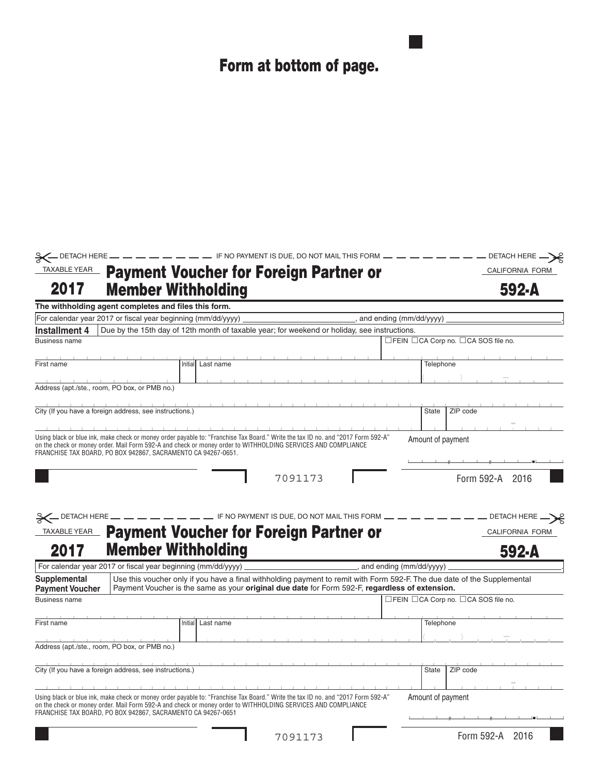# Form at bottom of page.

| <b>TAXABLE YEAR</b>                                                                 | <b>Payment Voucher for Foreign Partner or</b>                                                                                                                                                                                                                                                                     |                         |                           | CALIFORNIA FORM                     |  |
|-------------------------------------------------------------------------------------|-------------------------------------------------------------------------------------------------------------------------------------------------------------------------------------------------------------------------------------------------------------------------------------------------------------------|-------------------------|---------------------------|-------------------------------------|--|
| 2017                                                                                | <b>Member Withholding</b>                                                                                                                                                                                                                                                                                         |                         |                           | 592-A                               |  |
|                                                                                     | The withholding agent completes and files this form.                                                                                                                                                                                                                                                              |                         |                           |                                     |  |
|                                                                                     | For calendar year 2017 or fiscal year beginning (mm/dd/yyyy)                                                                                                                                                                                                                                                      | and ending (mm/dd/yyyy) |                           |                                     |  |
| Installment 4                                                                       | Due by the 15th day of 12th month of taxable year; for weekend or holiday, see instructions.                                                                                                                                                                                                                      |                         |                           |                                     |  |
| <b>Business name</b>                                                                |                                                                                                                                                                                                                                                                                                                   |                         |                           | □FEIN □CA Corp no. □CA SOS file no. |  |
|                                                                                     |                                                                                                                                                                                                                                                                                                                   |                         |                           |                                     |  |
| First name                                                                          | Initial Last name                                                                                                                                                                                                                                                                                                 |                         | Telephone                 |                                     |  |
|                                                                                     |                                                                                                                                                                                                                                                                                                                   |                         |                           |                                     |  |
|                                                                                     | Address (apt./ste., room, PO box, or PMB no.)                                                                                                                                                                                                                                                                     |                         |                           |                                     |  |
|                                                                                     | City (If you have a foreign address, see instructions.)                                                                                                                                                                                                                                                           |                         | <b>State</b>              | ZIP code                            |  |
|                                                                                     |                                                                                                                                                                                                                                                                                                                   |                         |                           |                                     |  |
|                                                                                     | Using black or blue ink, make check or money order payable to: "Franchise Tax Board." Write the tax ID no. and "2017 Form 592-A'<br>on the check or money order. Mail Form 592-A and check or money order to WITHHOLDING SERVICES AND COMPLIANCE<br>FRANCHISE TAX BOARD, PO BOX 942867, SACRAMENTO CA 94267-0651. |                         | Amount of payment         |                                     |  |
|                                                                                     |                                                                                                                                                                                                                                                                                                                   | 7091173                 |                           | Form 592-A 2016                     |  |
|                                                                                     | - IF NO PAYMENT IS DUE, DO NOT MAIL THIS FORM                                                                                                                                                                                                                                                                     |                         |                           | DETACH HERE.                        |  |
| SE DETACH HERE<br><b>TAXABLE YEAR</b>                                               |                                                                                                                                                                                                                                                                                                                   |                         |                           | CALIFORNIA FORM                     |  |
| 2017                                                                                | <b>Payment Voucher for Foreign Partner or</b><br><b>Member Withholding</b>                                                                                                                                                                                                                                        |                         |                           | 592-A                               |  |
|                                                                                     | For calendar year 2017 or fiscal year beginning (mm/dd/yyyy)                                                                                                                                                                                                                                                      |                         | , and ending (mm/dd/yyyy) |                                     |  |
|                                                                                     | Use this voucher only if you have a final withholding payment to remit with Form 592-F. The due date of the Supplemental<br>Payment Voucher is the same as your original due date for Form 592-F, regardless of extension.                                                                                        |                         |                           |                                     |  |
|                                                                                     |                                                                                                                                                                                                                                                                                                                   |                         |                           | □FEIN □CA Corp no. □CA SOS file no. |  |
|                                                                                     |                                                                                                                                                                                                                                                                                                                   |                         |                           |                                     |  |
|                                                                                     | Initial Last name                                                                                                                                                                                                                                                                                                 |                         | Telephone                 |                                     |  |
|                                                                                     | Address (apt./ste., room, PO box, or PMB no.)                                                                                                                                                                                                                                                                     |                         |                           |                                     |  |
|                                                                                     | City (If you have a foreign address, see instructions.)                                                                                                                                                                                                                                                           |                         | <b>State</b>              | ZIP code                            |  |
|                                                                                     |                                                                                                                                                                                                                                                                                                                   |                         |                           |                                     |  |
|                                                                                     | Using black or blue ink, make check or money order payable to: "Franchise Tax Board." Write the tax ID no. and "2017 Form 592-A"                                                                                                                                                                                  |                         | Amount of payment         |                                     |  |
| <b>Supplemental</b><br><b>Payment Voucher</b><br><b>Business name</b><br>First name | on the check or money order. Mail Form 592-A and check or money order to WITHHOLDING SERVICES AND COMPLIANCE<br>FRANCHISE TAX BOARD, PO BOX 942867, SACRAMENTO CA 94267-0651                                                                                                                                      |                         |                           |                                     |  |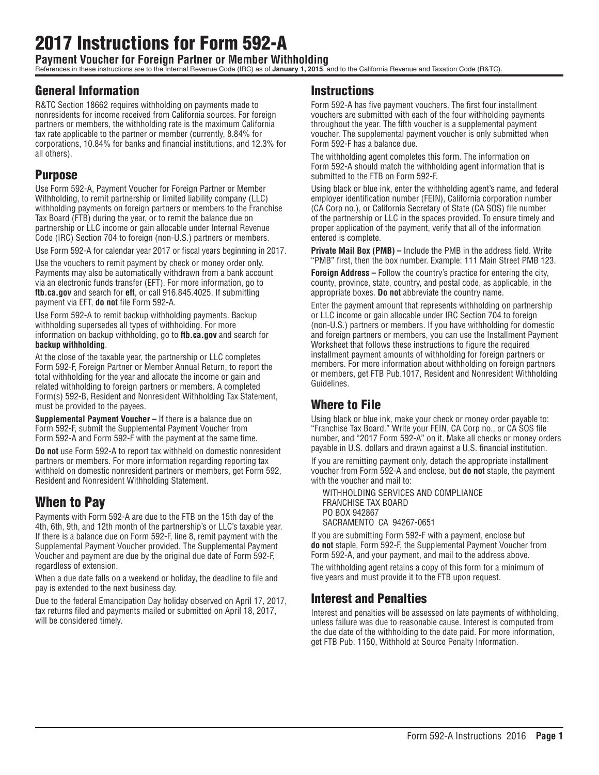# 2017 Instructions for Form 592-A

**Payment Voucher for Foreign Partner or Member Withholding**

References in these instructions are to the Internal Revenue Code (IRC) as of **January 1, 2015**, and to the California Revenue and Taxation Code (R&TC).

### General Information

R&TC Section 18662 requires withholding on payments made to nonresidents for income received from California sources. For foreign partners or members, the withholding rate is the maximum California tax rate applicable to the partner or member (currently, 8.84% for corporations, 10.84% for banks and financial institutions, and 12.3% for all others).

### Purpose

Use Form 592-A, Payment Voucher for Foreign Partner or Member Withholding, to remit partnership or limited liability company (LLC) withholding payments on foreign partners or members to the Franchise Tax Board (FTB) during the year, or to remit the balance due on partnership or LLC income or gain allocable under Internal Revenue Code (IRC) Section 704 to foreign (non-U.S.) partners or members.

Use Form 592-A for calendar year 2017 or fiscal years beginning in 2017.

Use the vouchers to remit payment by check or money order only. Payments may also be automatically withdrawn from a bank account via an electronic funds transfer (EFT). For more information, go to **ftb.ca.gov** and search for **eft**, or call 916.845.4025. If submitting payment via EFT, **do not** file Form 592-A.

Use Form 592-A to remit backup withholding payments. Backup withholding supersedes all types of withholding. For more information on backup withholding, go to **ftb.ca.gov** and search for **backup withholding**.

At the close of the taxable year, the partnership or LLC completes Form 592-F, Foreign Partner or Member Annual Return, to report the total withholding for the year and allocate the income or gain and related withholding to foreign partners or members. A completed Form(s) 592‑B, Resident and Nonresident Withholding Tax Statement, must be provided to the payees.

**Supplemental Payment Voucher –** If there is a balance due on Form 592-F, submit the Supplemental Payment Voucher from Form 592‑A and Form 592-F with the payment at the same time.

**Do not** use Form 592-A to report tax withheld on domestic nonresident partners or members. For more information regarding reporting tax withheld on domestic nonresident partners or members, get Form 592, Resident and Nonresident Withholding Statement.

## When to Pay

Payments with Form 592-A are due to the FTB on the 15th day of the 4th, 6th, 9th, and 12th month of the partnership's or LLC's taxable year. If there is a balance due on Form 592-F, line 8, remit payment with the Supplemental Payment Voucher provided. The Supplemental Payment Voucher and payment are due by the original due date of Form 592-F, regardless of extension.

When a due date falls on a weekend or holiday, the deadline to file and pay is extended to the next business day.

Due to the federal Emancipation Day holiday observed on April 17, 2017, tax returns filed and payments mailed or submitted on April 18, 2017, will be considered timely.

### **Instructions**

Form 592-A has five payment vouchers. The first four installment vouchers are submitted with each of the four withholding payments throughout the year. The fifth voucher is a supplemental payment voucher. The supplemental payment voucher is only submitted when Form 592-F has a balance due.

The withholding agent completes this form. The information on Form 592‑A should match the withholding agent information that is submitted to the FTB on Form 592‑F.

Using black or blue ink, enter the withholding agent's name, and federal employer identification number (FEIN), California corporation number (CA Corp no.), or California Secretary of State (CA SOS) file number of the partnership or LLC in the spaces provided. To ensure timely and proper application of the payment, verify that all of the information entered is complete.

**Private Mail Box (PMB) –** Include the PMB in the address field. Write "PMB" first, then the box number. Example: 111 Main Street PMB 123.

**Foreign Address –** Follow the country's practice for entering the city, county, province, state, country, and postal code, as applicable, in the appropriate boxes. **Do not** abbreviate the country name.

Enter the payment amount that represents withholding on partnership or LLC income or gain allocable under IRC Section 704 to foreign (non-U.S.) partners or members. If you have withholding for domestic and foreign partners or members, you can use the Installment Payment Worksheet that follows these instructions to figure the required installment payment amounts of withholding for foreign partners or members. For more information about withholding on foreign partners or members, get FTB Pub.1017, Resident and Nonresident Withholding Guidelines.

### Where to File

Using black or blue ink, make your check or money order payable to: "Franchise Tax Board." Write your FEIN, CA Corp no., or CA SOS file number, and "2017 Form 592-A" on it. Make all checks or money orders payable in U.S. dollars and drawn against a U.S. financial institution.

If you are remitting payment only, detach the appropriate installment voucher from Form 592-A and enclose, but **do not** staple, the payment with the voucher and mail to:

WITHHOLDING SERVICES AND COMPLIANCE FRANCHISE TAX BOARD PO BOX 942867 SACRAMENTO CA 94267-0651

If you are submitting Form 592-F with a payment, enclose but **do not** staple, Form 592-F, the Supplemental Payment Voucher from Form 592-A, and your payment, and mail to the address above.

The withholding agent retains a copy of this form for a minimum of five years and must provide it to the FTB upon request.

## Interest and Penalties

Interest and penalties will be assessed on late payments of withholding, unless failure was due to reasonable cause. Interest is computed from the due date of the withholding to the date paid. For more information, get FTB Pub. 1150, Withhold at Source Penalty Information.